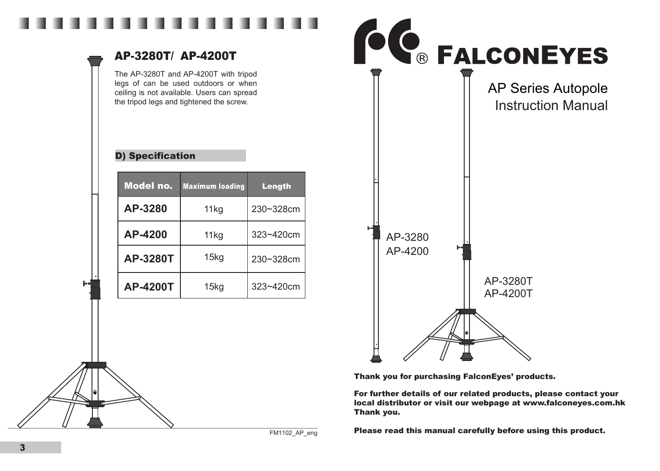



Thank you for purchasing FalconEyes' products.

For further details of our related products, please contact your local distributor or visit our webpage at www.falconeyes.com.hk Thank you.

Please read this manual carefully before using this product.

3